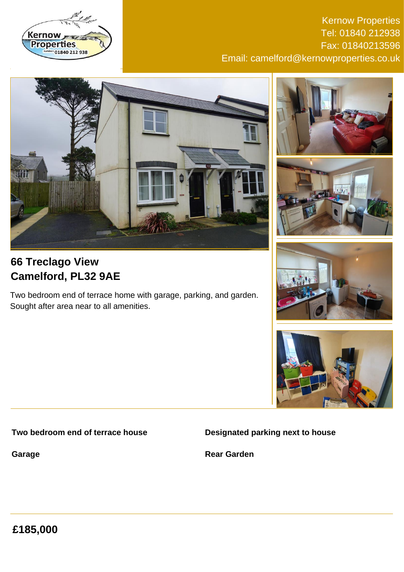

Kernow Properties Tel: 01840 212938 Fax: 01840213596 Email: camelford@kernowproperties.co.uk



# **66 Treclago View Camelford, PL32 9AE**

Two bedroom end of terrace home with garage, parking, and garden. Sought after area near to all amenities.









### **Two bedroom end of terrace house**

**Garage**

**Designated parking next to house**

**Rear Garden**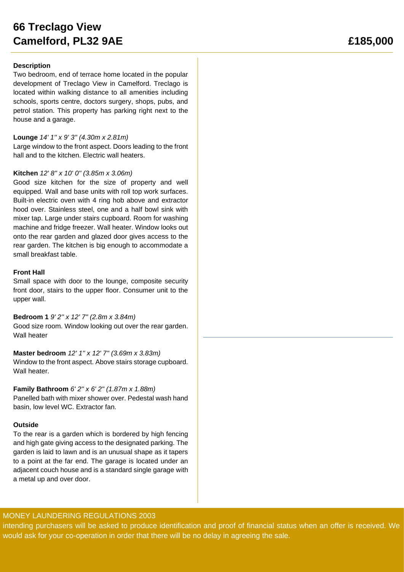## **66 Treclago View Camelford, PL32 9AE £185,000**

### **Description**

Two bedroom, end of terrace home located in the popular development of Treclago View in Camelford. Treclago is located within walking distance to all amenities including schools, sports centre, doctors surgery, shops, pubs, and petrol station. This property has parking right next to the house and a garage.

### **Lounge** *14' 1'' x 9' 3'' (4.30m x 2.81m)*

Large window to the front aspect. Doors leading to the front hall and to the kitchen. Electric wall heaters.

### **Kitchen** *12' 8'' x 10' 0'' (3.85m x 3.06m)*

Good size kitchen for the size of property and well equipped. Wall and base units with roll top work surfaces. Built-in electric oven with 4 ring hob above and extractor hood over. Stainless steel, one and a half bowl sink with mixer tap. Large under stairs cupboard. Room for washing machine and fridge freezer. Wall heater. Window looks out onto the rear garden and glazed door gives access to the rear garden. The kitchen is big enough to accommodate a small breakfast table.

#### **Front Hall**

Small space with door to the lounge, composite security front door, stairs to the upper floor. Consumer unit to the upper wall.

#### **Bedroom 1** *9' 2'' x 12' 7'' (2.8m x 3.84m)*

Good size room. Window looking out over the rear garden. Wall heater

## **Master bedroom** *12' 1'' x 12' 7'' (3.69m x 3.83m)*

Window to the front aspect. Above stairs storage cupboard. Wall heater.

### **Family Bathroom** *6' 2'' x 6' 2'' (1.87m x 1.88m)*

Panelled bath with mixer shower over. Pedestal wash hand basin, low level WC. Extractor fan.

### **Outside**

To the rear is a garden which is bordered by high fencing and high gate giving access to the designated parking. The garden is laid to lawn and is an unusual shape as it tapers to a point at the far end. The garage is located under an adjacent couch house and is a standard single garage with a metal up and over door.

### MONEY LAUNDERING REGULATIONS 2003

intending purchasers will be asked to produce identification and proof of financial status when an offer is received. We would ask for your co-operation in order that there will be no delay in agreeing the sale.